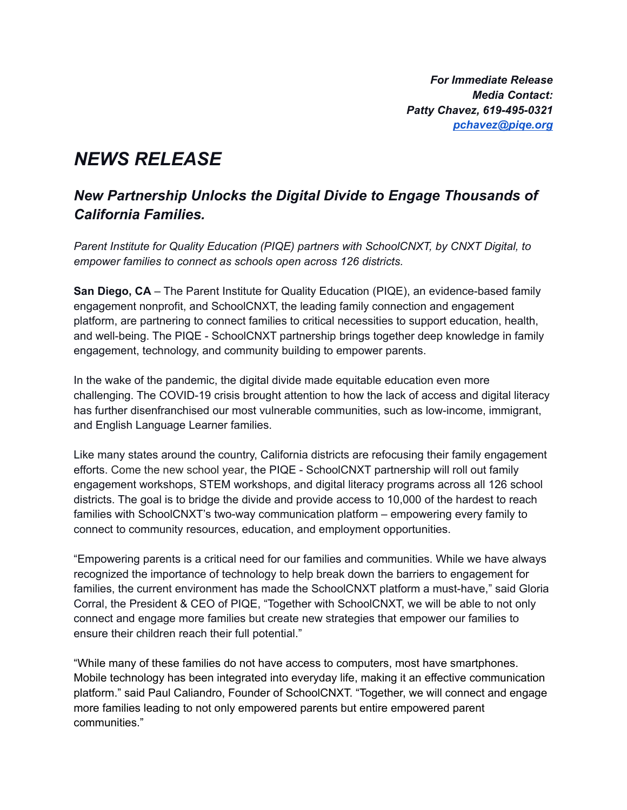*For Immediate Release Media Contact: Patty Chavez, 619-495-0321 [pchavez@piqe.org](mailto:pchavez@piqe.org)*

## *NEWS RELEASE*

## *New Partnership Unlocks the Digital Divide to Engage Thousands of California Families.*

*Parent Institute for Quality Education (PIQE) partners with SchoolCNXT, by CNXT Digital, to empower families to connect as schools open across 126 districts.*

**San Diego, CA** – The Parent Institute for Quality Education (PIQE), an evidence-based family engagement nonprofit, and SchoolCNXT, the leading family connection and engagement platform, are partnering to connect families to critical necessities to support education, health, and well-being. The PIQE - SchoolCNXT partnership brings together deep knowledge in family engagement, technology, and community building to empower parents.

In the wake of the pandemic, the digital divide made equitable education even more challenging. The COVID-19 crisis brought attention to how the lack of access and digital literacy has further disenfranchised our most vulnerable communities, such as low-income, immigrant, and English Language Learner families.

Like many states around the country, California districts are refocusing their family engagement efforts. Come the new school year, the PIQE - SchoolCNXT partnership will roll out family engagement workshops, STEM workshops, and digital literacy programs across all 126 school districts. The goal is to bridge the divide and provide access to 10,000 of the hardest to reach families with SchoolCNXT's two-way communication platform – empowering every family to connect to community resources, education, and employment opportunities.

"Empowering parents is a critical need for our families and communities. While we have always recognized the importance of technology to help break down the barriers to engagement for families, the current environment has made the SchoolCNXT platform a must-have," said Gloria Corral, the President & CEO of PIQE, "Together with SchoolCNXT, we will be able to not only connect and engage more families but create new strategies that empower our families to ensure their children reach their full potential."

"While many of these families do not have access to computers, most have smartphones. Mobile technology has been integrated into everyday life, making it an effective communication platform." said Paul Caliandro, Founder of SchoolCNXT. "Together, we will connect and engage more families leading to not only empowered parents but entire empowered parent communities."